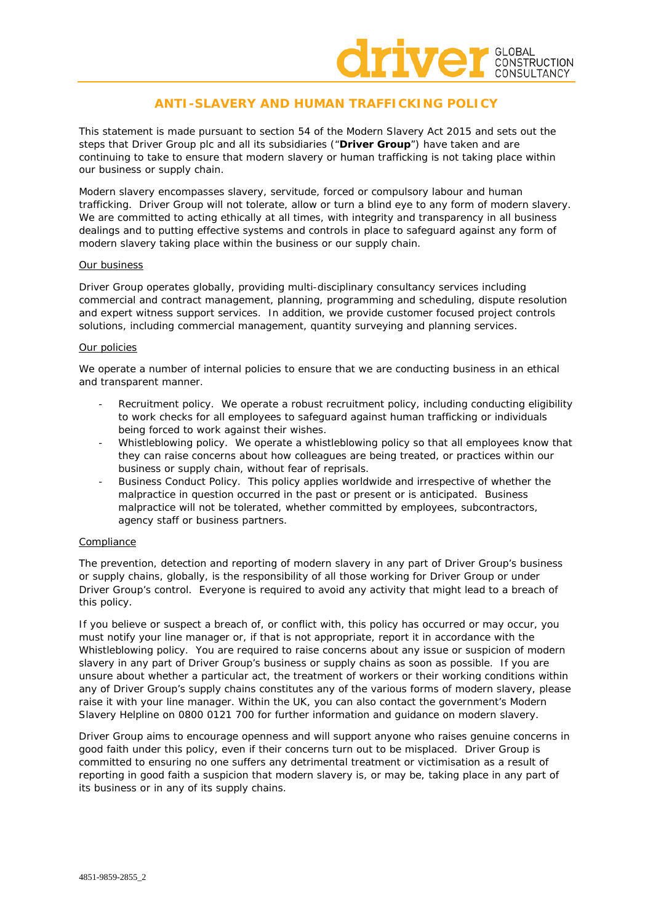

# **ANTI-SLAVERY AND HUMAN TRAFFICKING POLICY**

This statement is made pursuant to section 54 of the Modern Slavery Act 2015 and sets out the steps that Driver Group plc and all its subsidiaries ("**Driver Group**") have taken and are continuing to take to ensure that modern slavery or human trafficking is not taking place within our business or supply chain.

Modern slavery encompasses slavery, servitude, forced or compulsory labour and human trafficking. Driver Group will not tolerate, allow or turn a blind eye to any form of modern slavery. We are committed to acting ethically at all times, with integrity and transparency in all business dealings and to putting effective systems and controls in place to safeguard against any form of modern slavery taking place within the business or our supply chain.

# Our business

Driver Group operates globally, providing multi-disciplinary consultancy services including commercial and contract management, planning, programming and scheduling, dispute resolution and expert witness support services. In addition, we provide customer focused project controls solutions, including commercial management, quantity surveying and planning services.

# Our policies

We operate a number of internal policies to ensure that we are conducting business in an ethical and transparent manner.

- Recruitment policy. We operate a robust recruitment policy, including conducting eligibility to work checks for all employees to safeguard against human trafficking or individuals being forced to work against their wishes.
- Whistleblowing policy. We operate a whistleblowing policy so that all employees know that they can raise concerns about how colleagues are being treated, or practices within our business or supply chain, without fear of reprisals.
- Business Conduct Policy. This policy applies worldwide and irrespective of whether the malpractice in question occurred in the past or present or is anticipated. Business malpractice will not be tolerated, whether committed by employees, subcontractors, agency staff or business partners.

# Compliance

The prevention, detection and reporting of modern slavery in any part of Driver Group's business or supply chains, globally, is the responsibility of all those working for Driver Group or under Driver Group's control. Everyone is required to avoid any activity that might lead to a breach of this policy.

If you believe or suspect a breach of, or conflict with, this policy has occurred or may occur, you must notify your line manager or, if that is not appropriate, report it in accordance with the Whistleblowing policy. You are required to raise concerns about any issue or suspicion of modern slavery in any part of Driver Group's business or supply chains as soon as possible. If you are unsure about whether a particular act, the treatment of workers or their working conditions within any of Driver Group's supply chains constitutes any of the various forms of modern slavery, please raise it with your line manager. Within the UK, you can also contact the government's Modern Slavery Helpline on 0800 0121 700 for further information and guidance on modern slavery.

Driver Group aims to encourage openness and will support anyone who raises genuine concerns in good faith under this policy, even if their concerns turn out to be misplaced. Driver Group is committed to ensuring no one suffers any detrimental treatment or victimisation as a result of reporting in good faith a suspicion that modern slavery is, or may be, taking place in any part of its business or in any of its supply chains.